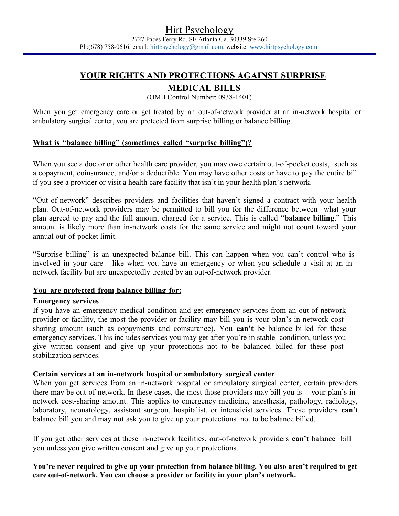# YOUR RIGHTS AND PROTECTIONS AGAINST SURPRISE

## MEDICAL BILLS

(OMB Control Number: 0938-1401)

When you get emergency care or get treated by an out-of-network provider at an in-network hospital or ambulatory surgical center, you are protected from surprise billing or balance billing.

## What is "balance billing" (sometimes called "surprise billing")?

When you see a doctor or other health care provider, you may owe certain out-of-pocket costs, such as a copayment, coinsurance, and/or a deductible. You may have other costs or have to pay the entire bill if you see a provider or visit a health care facility that isn't in your health plan's network.

"Out-of-network" describes providers and facilities that haven't signed a contract with your health plan. Out-of-network providers may be permitted to bill you for the difference between what your plan agreed to pay and the full amount charged for a service. This is called "balance billing." This amount is likely more than in-network costs for the same service and might not count toward your annual out-of-pocket limit.

"Surprise billing" is an unexpected balance bill. This can happen when you can't control who is involved in your care - like when you have an emergency or when you schedule a visit at an innetwork facility but are unexpectedly treated by an out-of-network provider.

#### You are protected from balance billing for:

#### Emergency services

If you have an emergency medical condition and get emergency services from an out-of-network provider or facility, the most the provider or facility may bill you is your plan's in-network costsharing amount (such as copayments and coinsurance). You **can't** be balance billed for these emergency services. This includes services you may get after you're in stable condition, unless you give written consent and give up your protections not to be balanced billed for these poststabilization services.

#### Certain services at an in-network hospital or ambulatory surgical center

When you get services from an in-network hospital or ambulatory surgical center, certain providers there may be out-of-network. In these cases, the most those providers may bill you is your plan's innetwork cost-sharing amount. This applies to emergency medicine, anesthesia, pathology, radiology, laboratory, neonatology, assistant surgeon, hospitalist, or intensivist services. These providers can't balance bill you and may not ask you to give up your protections not to be balance billed.

If you get other services at these in-network facilities, out-of-network providers can't balance bill you unless you give written consent and give up your protections.

You're never required to give up your protection from balance billing. You also aren't required to get care out-of-network. You can choose a provider or facility in your plan's network.